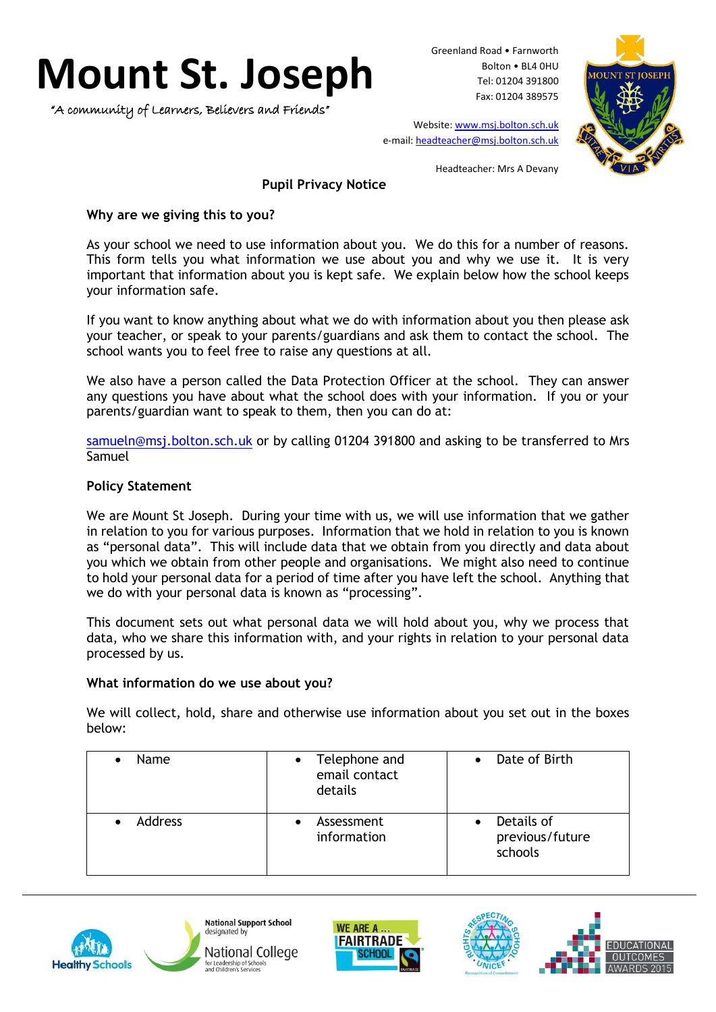# **Mount St. Joseph**

"A community of Learners, Believers and Friends"

Greenland Road • Farnworth Bolton • BL4 0HU Tel: 01204 391800 Fax: 01204 389575



Website[: www.msj.bolton.sch.uk](http://www.msj.bolton.sch.uk/) e-mail: [headteacher@msj.bolton.sch.uk](mailto:headteacher@msj.bolton.sch.uk)

Headteacher: Mrs A Devany

# **Pupil Privacy Notice**

## **Why are we giving this to you?**

As your school we need to use information about you. We do this for a number of reasons. This form tells you what information we use about you and why we use it. It is very important that information about you is kept safe. We explain below how the school keeps your information safe.

If you want to know anything about what we do with information about you then please ask your teacher, or speak to your parents/guardians and ask them to contact the school. The school wants you to feel free to raise any questions at all.

We also have a person called the Data Protection Officer at the school. They can answer any questions you have about what the school does with your information. If you or your parents/guardian want to speak to them, then you can do at:

[samueln@msj.bolton.sch.uk](mailto:samueln@msj.bolton.sch.uk) or by calling 01204 391800 and asking to be transferred to Mrs Samuel

# **Policy Statement**

We are Mount St Joseph. During your time with us, we will use information that we gather in relation to you for various purposes. Information that we hold in relation to you is known as "personal data". This will include data that we obtain from you directly and data about you which we obtain from other people and organisations. We might also need to continue to hold your personal data for a period of time after you have left the school. Anything that we do with your personal data is known as "processing".

This document sets out what personal data we will hold about you, why we process that data, who we share this information with, and your rights in relation to your personal data processed by us.

## **What information do we use about you?**

We will collect, hold, share and otherwise use information about you set out in the boxes below:

| <b>Name</b>    | Telephone and<br>email contact<br>details | Date of Birth                            |
|----------------|-------------------------------------------|------------------------------------------|
| <b>Address</b> | Assessment<br>information                 | Details of<br>previous/future<br>schools |







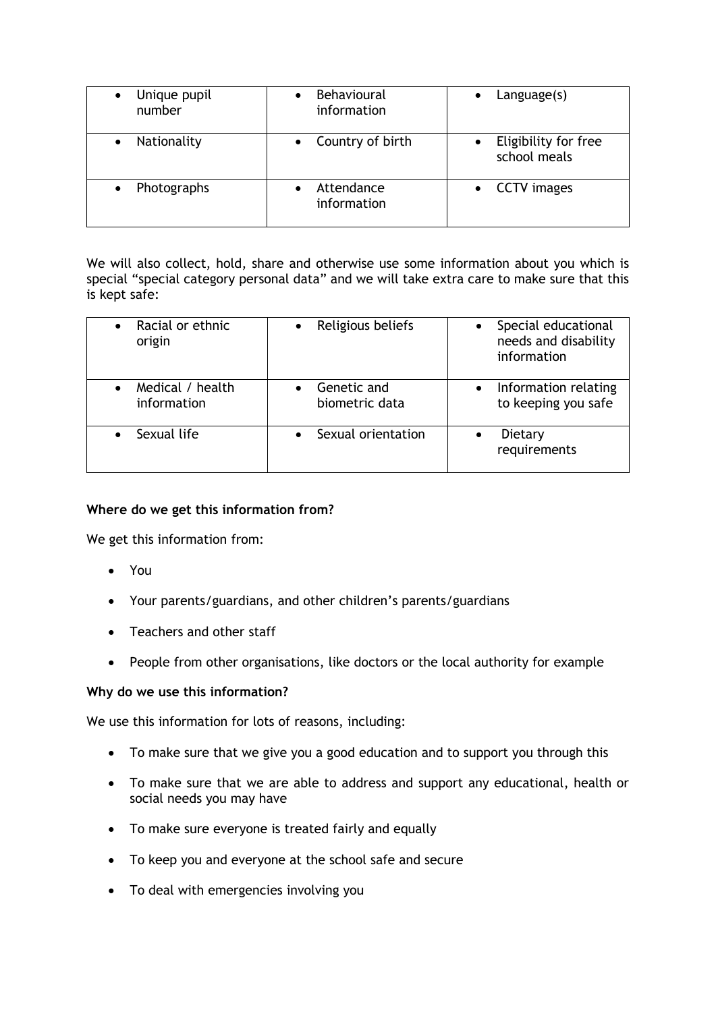| Unique pupil<br>number | <b>Behavioural</b><br>information | $L$ anguage $(s)$                    |
|------------------------|-----------------------------------|--------------------------------------|
| Nationality            | Country of birth                  | Eligibility for free<br>school meals |
| Photographs            | Attendance<br>information         | <b>CCTV</b> images                   |

We will also collect, hold, share and otherwise use some information about you which is special "special category personal data" and we will take extra care to make sure that this is kept safe:

| Racial or ethnic<br>origin      | Religious beliefs             | Special educational<br>needs and disability<br>information |
|---------------------------------|-------------------------------|------------------------------------------------------------|
| Medical / health<br>information | Genetic and<br>biometric data | Information relating<br>to keeping you safe                |
| Sexual life                     | Sexual orientation            | Dietary<br>requirements                                    |

## **Where do we get this information from?**

We get this information from:

- You
- Your parents/guardians, and other children's parents/guardians
- Teachers and other staff
- People from other organisations, like doctors or the local authority for example

## **Why do we use this information?**

We use this information for lots of reasons, including:

- To make sure that we give you a good education and to support you through this
- To make sure that we are able to address and support any educational, health or social needs you may have
- To make sure everyone is treated fairly and equally
- To keep you and everyone at the school safe and secure
- To deal with emergencies involving you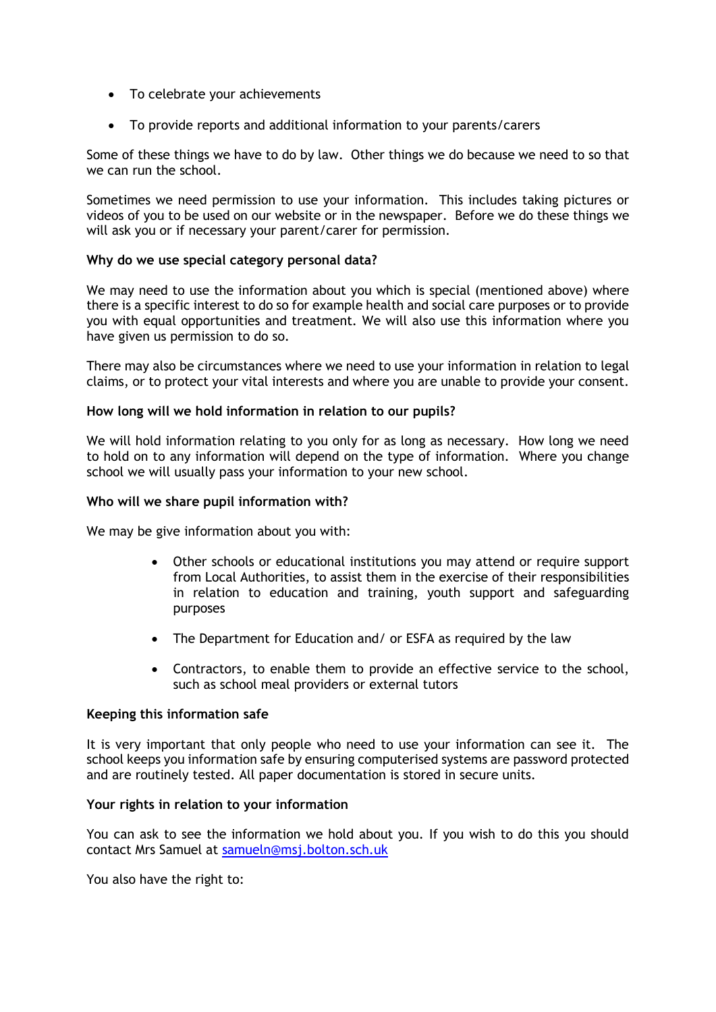- To celebrate your achievements
- To provide reports and additional information to your parents/carers

Some of these things we have to do by law. Other things we do because we need to so that we can run the school.

Sometimes we need permission to use your information. This includes taking pictures or videos of you to be used on our website or in the newspaper. Before we do these things we will ask you or if necessary your parent/carer for permission.

### **Why do we use special category personal data?**

We may need to use the information about you which is special (mentioned above) where there is a specific interest to do so for example health and social care purposes or to provide you with equal opportunities and treatment. We will also use this information where you have given us permission to do so.

There may also be circumstances where we need to use your information in relation to legal claims, or to protect your vital interests and where you are unable to provide your consent.

### **How long will we hold information in relation to our pupils?**

We will hold information relating to you only for as long as necessary. How long we need to hold on to any information will depend on the type of information. Where you change school we will usually pass your information to your new school.

#### **Who will we share pupil information with?**

We may be give information about you with:

- Other schools or educational institutions you may attend or require support from Local Authorities, to assist them in the exercise of their responsibilities in relation to education and training, youth support and safeguarding purposes
- The Department for Education and/ or ESFA as required by the law
- Contractors, to enable them to provide an effective service to the school, such as school meal providers or external tutors

#### **Keeping this information safe**

It is very important that only people who need to use your information can see it. The school keeps you information safe by ensuring computerised systems are password protected and are routinely tested. All paper documentation is stored in secure units.

#### **Your rights in relation to your information**

You can ask to see the information we hold about you. If you wish to do this you should contact Mrs Samuel at [samueln@msj.bolton.sch.uk](mailto:samueln@msj.bolton.sch.uk)

You also have the right to: